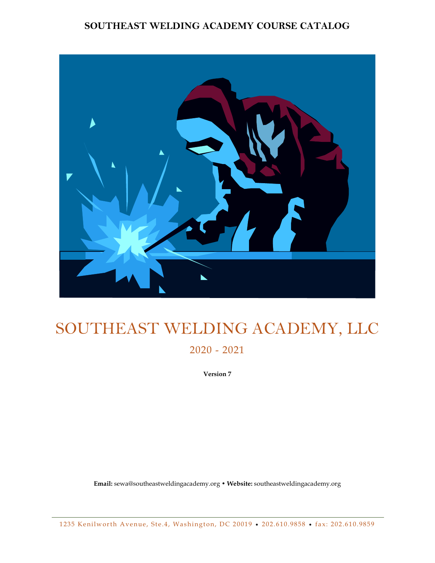# **SOUTHEAST WELDING ACADEMY COURSE CATALOG**



# SOUTHEAST WELDING ACADEMY, LLC

2020 - 2021

**Version 7** 

**Email:** sewa@southeastweldingacademy.org • **Website:** southeastweldingacademy.org

1 235 Kenilworth Avenue, Ste.4, Washington, DC 20019 • 202.610.9858 • fax: 202.610.9859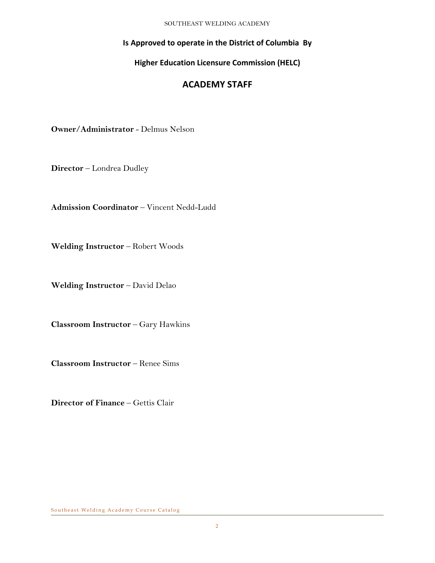## **Is Approved to operate in the District of Columbia By**

# **Higher Education Licensure Commission (HELC)**

# **ACADEMY STAFF**

**Owner/Administrator** - Delmus Nelson

**Director** – Londrea Dudley

**Admission Coordinator** – Vincent Nedd-Ludd

**Welding Instructor** – Robert Woods

**Welding Instructor** – David Delao

**Classroom Instructor** – Gary Hawkins

**Classroom Instructor** – Renee Sims

**Director of Finance** – Gettis Clair

Southeast Welding Academy Course Catalog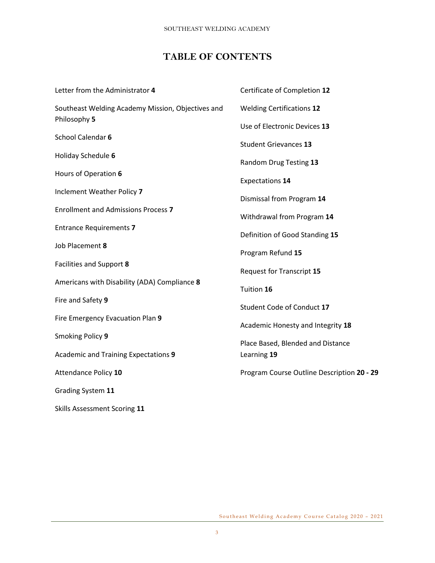# **TABLE OF CONTENTS**

| Letter from the Administrator 4                   | Certificate of Completion 12               |
|---------------------------------------------------|--------------------------------------------|
| Southeast Welding Academy Mission, Objectives and | <b>Welding Certifications 12</b>           |
| Philosophy 5                                      | Use of Electronic Devices 13               |
| School Calendar 6                                 | <b>Student Grievances 13</b>               |
| Holiday Schedule 6                                | Random Drug Testing 13                     |
| Hours of Operation 6                              |                                            |
| Inclement Weather Policy 7                        | <b>Expectations 14</b>                     |
| <b>Enrollment and Admissions Process 7</b>        | Dismissal from Program 14                  |
|                                                   | Withdrawal from Program 14                 |
| <b>Entrance Requirements 7</b>                    | Definition of Good Standing 15             |
| Job Placement 8                                   | Program Refund 15                          |
| Facilities and Support 8                          | Request for Transcript 15                  |
| Americans with Disability (ADA) Compliance 8      | Tuition 16                                 |
| Fire and Safety 9                                 |                                            |
| Fire Emergency Evacuation Plan 9                  | Student Code of Conduct 17                 |
| Smoking Policy 9                                  | Academic Honesty and Integrity 18          |
|                                                   | Place Based, Blended and Distance          |
| Academic and Training Expectations 9              | Learning 19                                |
| Attendance Policy 10                              | Program Course Outline Description 20 - 29 |
| Grading System 11                                 |                                            |
| Skills Assessment Scoring 11                      |                                            |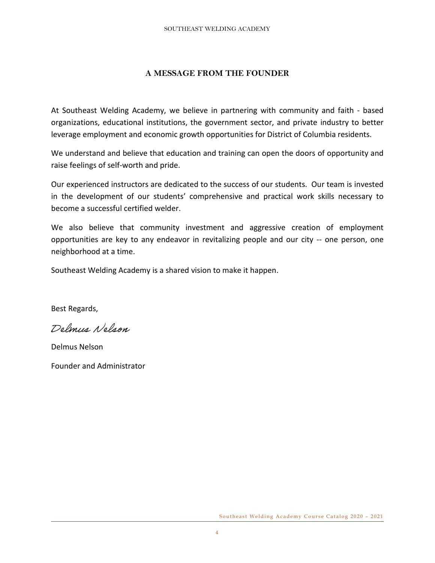## **A MESSAGE FROM THE FOUNDER**

At Southeast Welding Academy, we believe in partnering with community and faith - based organizations, educational institutions, the government sector, and private industry to better leverage employment and economic growth opportunities for District of Columbia residents.

We understand and believe that education and training can open the doors of opportunity and raise feelings of self-worth and pride.

Our experienced instructors are dedicated to the success of our students. Our team is invested in the development of our students' comprehensive and practical work skills necessary to become a successful certified welder.

We also believe that community investment and aggressive creation of employment opportunities are key to any endeavor in revitalizing people and our city -- one person, one neighborhood at a time.

Southeast Welding Academy is a shared vision to make it happen.

Best Regards,

Delmin Nelson

Delmus Nelson

Founder and Administrator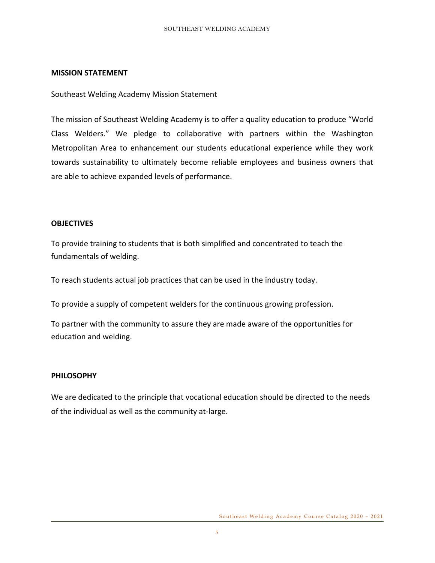## **MISSION STATEMENT**

Southeast Welding Academy Mission Statement

The mission of Southeast Welding Academy is to offer a quality education to produce "World Class Welders." We pledge to collaborative with partners within the Washington Metropolitan Area to enhancement our students educational experience while they work towards sustainability to ultimately become reliable employees and business owners that are able to achieve expanded levels of performance.

## **OBJECTIVES**

To provide training to students that is both simplified and concentrated to teach the fundamentals of welding.

To reach students actual job practices that can be used in the industry today.

To provide a supply of competent welders for the continuous growing profession.

To partner with the community to assure they are made aware of the opportunities for education and welding.

## **PHILOSOPHY**

We are dedicated to the principle that vocational education should be directed to the needs of the individual as well as the community at-large.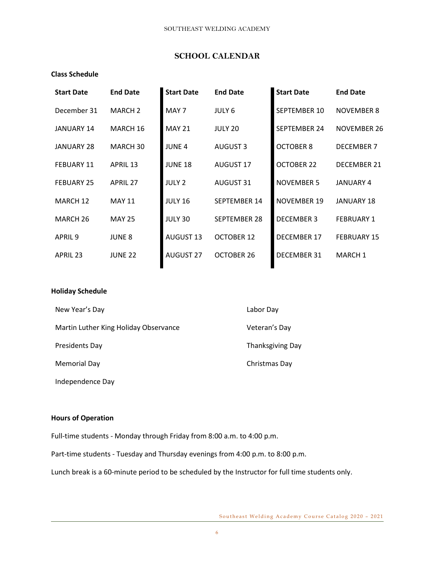## **SCHOOL CALENDAR**

#### **Class Schedule**

| <b>Start Date</b>   | <b>End Date</b> | <b>Start Date</b> | <b>End Date</b>     | <b>Start Date</b>   | <b>End Date</b>    |
|---------------------|-----------------|-------------------|---------------------|---------------------|--------------------|
| December 31         | <b>MARCH 2</b>  | MAY 7             | JULY 6              | SEPTEMBER 10        | <b>NOVEMBER 8</b>  |
| <b>JANUARY 14</b>   | MARCH 16        | <b>MAY 21</b>     | JULY 20             | <b>SEPTEMBER 24</b> | NOVEMBER 26        |
| <b>JANUARY 28</b>   | MARCH 30        | <b>JUNE 4</b>     | <b>AUGUST 3</b>     | <b>OCTOBER 8</b>    | <b>DECEMBER 7</b>  |
| <b>FEBUARY 11</b>   | <b>APRIL 13</b> | <b>JUNE 18</b>    | <b>AUGUST 17</b>    | <b>OCTOBER 22</b>   | DECEMBER 21        |
| <b>FEBUARY 25</b>   | <b>APRIL 27</b> | <b>JULY 2</b>     | <b>AUGUST 31</b>    | <b>NOVEMBER 5</b>   | JANUARY 4          |
| MARCH 12            | <b>MAY 11</b>   | <b>JULY 16</b>    | <b>SEPTEMBER 14</b> | NOVEMBER 19         | <b>JANUARY 18</b>  |
| MARCH <sub>26</sub> | <b>MAY 25</b>   | JULY 30           | SEPTEMBER 28        | <b>DECEMBER 3</b>   | <b>FEBRUARY 1</b>  |
| APRIL <sub>9</sub>  | <b>JUNE 8</b>   | <b>AUGUST 13</b>  | <b>OCTOBER 12</b>   | <b>DECEMBER 17</b>  | <b>FEBRUARY 15</b> |
| <b>APRIL 23</b>     | <b>JUNE 22</b>  | <b>AUGUST 27</b>  | OCTOBER 26          | <b>DECEMBER 31</b>  | <b>MARCH1</b>      |
|                     |                 |                   |                     |                     |                    |

#### **Holiday Schedule**

| New Year's Day                        | Labor Day        |
|---------------------------------------|------------------|
| Martin Luther King Holiday Observance | Veteran's Day    |
| Presidents Day                        | Thanksgiving Day |
| Memorial Day                          | Christmas Day    |

Independence Day

#### **Hours of Operation**

Full-time students - Monday through Friday from 8:00 a.m. to 4:00 p.m.

Part-time students - Tuesday and Thursday evenings from 4:00 p.m. to 8:00 p.m.

Lunch break is a 60-minute period to be scheduled by the Instructor for full time students only.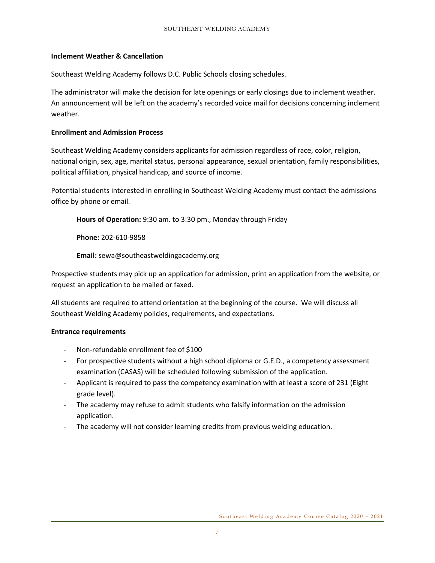## **Inclement Weather & Cancellation**

Southeast Welding Academy follows D.C. Public Schools closing schedules.

The administrator will make the decision for late openings or early closings due to inclement weather. An announcement will be left on the academy's recorded voice mail for decisions concerning inclement weather.

#### **Enrollment and Admission Process**

Southeast Welding Academy considers applicants for admission regardless of race, color, religion, national origin, sex, age, marital status, personal appearance, sexual orientation, family responsibilities, political affiliation, physical handicap, and source of income.

Potential students interested in enrolling in Southeast Welding Academy must contact the admissions office by phone or email.

**Hours of Operation:** 9:30 am. to 3:30 pm., Monday through Friday

**Phone:** 202-610-9858

**Email:** sewa@southeastweldingacademy.org

Prospective students may pick up an application for admission, print an application from the website, or request an application to be mailed or faxed.

All students are required to attend orientation at the beginning of the course. We will discuss all Southeast Welding Academy policies, requirements, and expectations.

## **Entrance requirements**

- Non-refundable enrollment fee of \$100
- For prospective students without a high school diploma or G.E.D., a competency assessment examination (CASAS) will be scheduled following submission of the application.
- Applicant is required to pass the competency examination with at least a score of 231 (Eight grade level).
- The academy may refuse to admit students who falsify information on the admission application.
- The academy will not consider learning credits from previous welding education.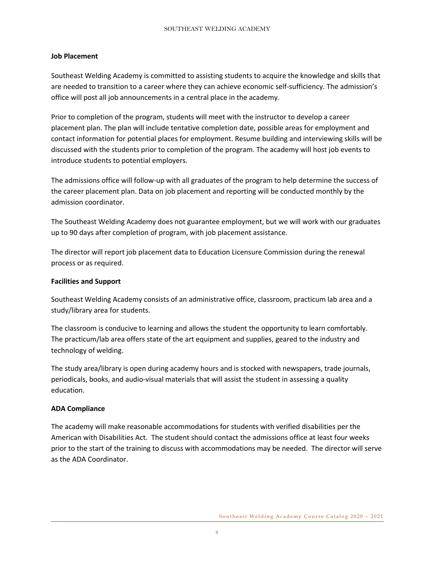#### **Job Placement**

Southeast Welding Academy is committed to assisting students to acquire the knowledge and skills that are needed to transition to a career where they can achieve economic self-sufficiency. The admission's office will post all job announcements in a central place in the academy.

Prior to completion of the program, students will meet with the instructor to develop a career placement plan. The plan will include tentative completion date, possible areas for employment and contact information for potential places for employment. Resume building and interviewing skills will be discussed with the students prior to completion of the program. The academy will host job events to introduce students to potential employers.

The admissions office will follow-up with all graduates of the program to help determine the success of the career placement plan. Data on job placement and reporting will be conducted monthly by the admission coordinator.

The Southeast Welding Academy does not guarantee employment, but we will work with our graduates up to 90 days after completion of program, with job placement assistance.

The director will report job placement data to Education Licensure Commission during the renewal process or as required.

#### **Facilities and Support**

Southeast Welding Academy consists of an administrative office, classroom, practicum lab area and a study/library area for students.

The classroom is conducive to learning and allows the student the opportunity to learn comfortably. The practicum/lab area offers state of the art equipment and supplies, geared to the industry and technology of welding.

The study area/library is open during academy hours and is stocked with newspapers, trade journals, periodicals, books, and audio-visual materials that will assist the student in assessing a quality education.

#### **ADA Compliance**

The academy will make reasonable accommodations for students with verified disabilities per the American with Disabilities Act. The student should contact the admissions office at least four weeks prior to the start of the training to discuss with accommodations may be needed. The director will serve as the ADA Coordinator.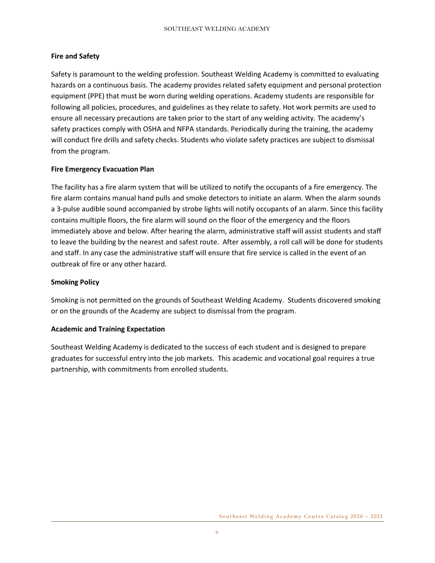## **Fire and Safety**

Safety is paramount to the welding profession. Southeast Welding Academy is committed to evaluating hazards on a continuous basis. The academy provides related safety equipment and personal protection equipment (PPE) that must be worn during welding operations. Academy students are responsible for following all policies, procedures, and guidelines as they relate to safety. Hot work permits are used to ensure all necessary precautions are taken prior to the start of any welding activity. The academy's safety practices comply with OSHA and NFPA standards. Periodically during the training, the academy will conduct fire drills and safety checks. Students who violate safety practices are subject to dismissal from the program.

## **Fire Emergency Evacuation Plan**

The facility has a fire alarm system that will be utilized to notify the occupants of a fire emergency. The fire alarm contains manual hand pulls and smoke detectors to initiate an alarm. When the alarm sounds a 3-pulse audible sound accompanied by strobe lights will notify occupants of an alarm. Since this facility contains multiple floors, the fire alarm will sound on the floor of the emergency and the floors immediately above and below. After hearing the alarm, administrative staff will assist students and staff to leave the building by the nearest and safest route. After assembly, a roll call will be done for students and staff. In any case the administrative staff will ensure that fire service is called in the event of an outbreak of fire or any other hazard.

## **Smoking Policy**

Smoking is not permitted on the grounds of Southeast Welding Academy. Students discovered smoking or on the grounds of the Academy are subject to dismissal from the program.

## **Academic and Training Expectation**

Southeast Welding Academy is dedicated to the success of each student and is designed to prepare graduates for successful entry into the job markets. This academic and vocational goal requires a true partnership, with commitments from enrolled students.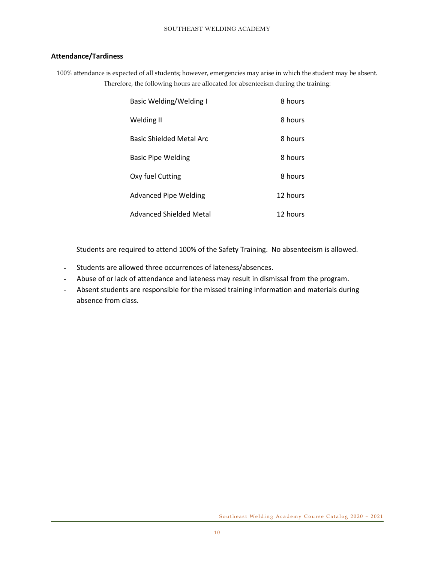## **Attendance/Tardiness**

100% attendance is expected of all students; however, emergencies may arise in which the student may be absent. Therefore, the following hours are allocated for absenteeism during the training:

| <b>Basic Welding/Welding I</b> | 8 hours  |
|--------------------------------|----------|
| Welding II                     | 8 hours  |
| Basic Shielded Metal Arc       | 8 hours  |
| Basic Pipe Welding             | 8 hours  |
| Oxy fuel Cutting               | 8 hours  |
| <b>Advanced Pipe Welding</b>   | 12 hours |
| Advanced Shielded Metal        | 12 hours |

Students are required to attend 100% of the Safety Training. No absenteeism is allowed.

- Students are allowed three occurrences of lateness/absences.
- Abuse of or lack of attendance and lateness may result in dismissal from the program.
- Absent students are responsible for the missed training information and materials during absence from class.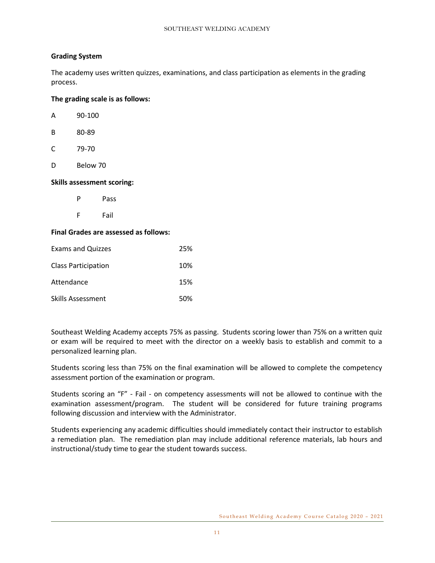## **Grading System**

The academy uses written quizzes, examinations, and class participation as elements in the grading process.

#### **The grading scale is as follows:**

| <b>Skills assessment</b> |          |  |
|--------------------------|----------|--|
| D                        | Below 70 |  |
| C                        | 79-70    |  |
| В                        | 80-89    |  |
| А                        | 90-100   |  |

P Pass

F Fail

#### **Final Grades are assessed as follows:**

**Skills assessment scoring:**

| <b>Exams and Quizzes</b>   | 25% |
|----------------------------|-----|
| <b>Class Participation</b> | 10% |
| Attendance                 | 15% |
| Skills Assessment          | 50% |

Southeast Welding Academy accepts 75% as passing. Students scoring lower than 75% on a written quiz or exam will be required to meet with the director on a weekly basis to establish and commit to a personalized learning plan.

Students scoring less than 75% on the final examination will be allowed to complete the competency assessment portion of the examination or program.

Students scoring an "F" - Fail - on competency assessments will not be allowed to continue with the examination assessment/program. The student will be considered for future training programs following discussion and interview with the Administrator.

Students experiencing any academic difficulties should immediately contact their instructor to establish a remediation plan. The remediation plan may include additional reference materials, lab hours and instructional/study time to gear the student towards success.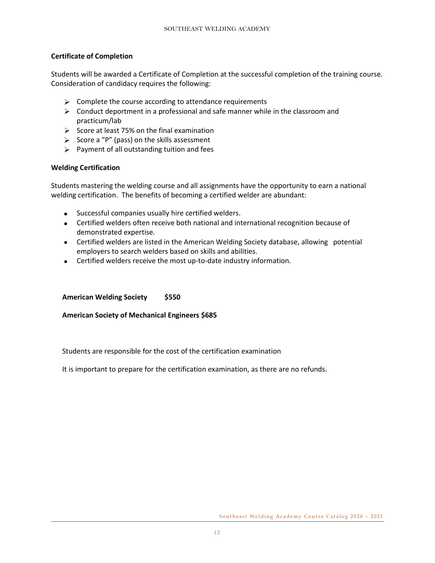## **Certificate of Completion**

Students will be awarded a Certificate of Completion at the successful completion of the training course. Consideration of candidacy requires the following:

- $\triangleright$  Complete the course according to attendance requirements
- $\triangleright$  Conduct deportment in a professional and safe manner while in the classroom and practicum/lab
- $\triangleright$  Score at least 75% on the final examination
- $\triangleright$  Score a "P" (pass) on the skills assessment
- $\triangleright$  Payment of all outstanding tuition and fees

#### **Welding Certification**

Students mastering the welding course and all assignments have the opportunity to earn a national welding certification. The benefits of becoming a certified welder are abundant:

- Successful companies usually hire certified welders.
- Certified welders often receive both national and international recognition because of demonstrated expertise.
- Certified welders are listed in the American Welding Society database, allowing potential employers to search welders based on skills and abilities.
- Certified welders receive the most up-to-date industry information.

## **American Welding Society \$550**

#### **American Society of Mechanical Engineers \$685**

Students are responsible for the cost of the certification examination

It is important to prepare for the certification examination, as there are no refunds.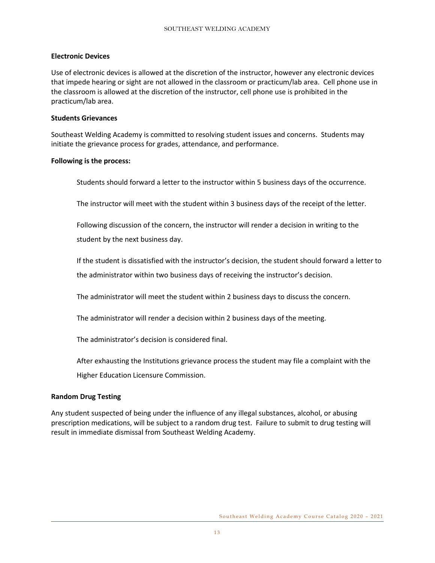#### **Electronic Devices**

Use of electronic devices is allowed at the discretion of the instructor, however any electronic devices that impede hearing or sight are not allowed in the classroom or practicum/lab area. Cell phone use in the classroom is allowed at the discretion of the instructor, cell phone use is prohibited in the practicum/lab area.

#### **Students Grievances**

Southeast Welding Academy is committed to resolving student issues and concerns. Students may initiate the grievance process for grades, attendance, and performance.

#### **Following is the process:**

Students should forward a letter to the instructor within 5 business days of the occurrence.

The instructor will meet with the student within 3 business days of the receipt of the letter.

Following discussion of the concern, the instructor will render a decision in writing to the student by the next business day.

If the student is dissatisfied with the instructor's decision, the student should forward a letter to the administrator within two business days of receiving the instructor's decision.

The administrator will meet the student within 2 business days to discuss the concern.

The administrator will render a decision within 2 business days of the meeting.

The administrator's decision is considered final.

After exhausting the Institutions grievance process the student may file a complaint with the

Higher Education Licensure Commission.

## **Random Drug Testing**

Any student suspected of being under the influence of any illegal substances, alcohol, or abusing prescription medications, will be subject to a random drug test. Failure to submit to drug testing will result in immediate dismissal from Southeast Welding Academy.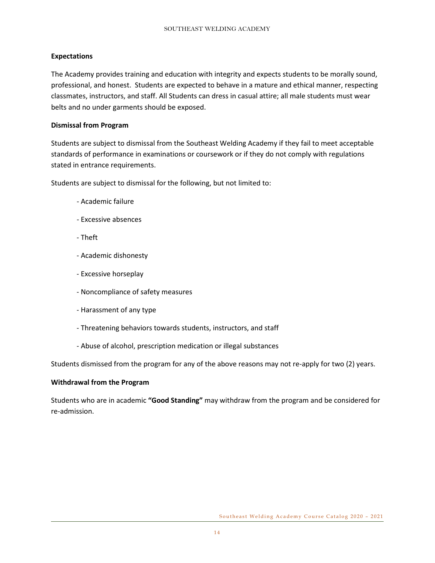## **Expectations**

The Academy provides training and education with integrity and expects students to be morally sound, professional, and honest. Students are expected to behave in a mature and ethical manner, respecting classmates, instructors, and staff. All Students can dress in casual attire; all male students must wear belts and no under garments should be exposed.

#### **Dismissal from Program**

Students are subject to dismissal from the Southeast Welding Academy if they fail to meet acceptable standards of performance in examinations or coursework or if they do not comply with regulations stated in entrance requirements.

Students are subject to dismissal for the following, but not limited to:

- Academic failure
- Excessive absences
- Theft
- Academic dishonesty
- Excessive horseplay
- Noncompliance of safety measures
- Harassment of any type
- Threatening behaviors towards students, instructors, and staff
- Abuse of alcohol, prescription medication or illegal substances

Students dismissed from the program for any of the above reasons may not re-apply for two (2) years.

#### **Withdrawal from the Program**

Students who are in academic **"Good Standing"** may withdraw from the program and be considered for re-admission.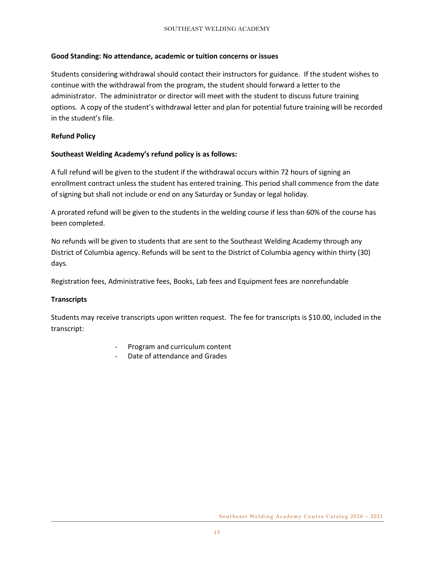#### **Good Standing: No attendance, academic or tuition concerns or issues**

Students considering withdrawal should contact their instructors for guidance. If the student wishes to continue with the withdrawal from the program, the student should forward a letter to the administrator. The administrator or director will meet with the student to discuss future training options. A copy of the student's withdrawal letter and plan for potential future training will be recorded in the student's file.

#### **Refund Policy**

#### **Southeast Welding Academy's refund policy is as follows:**

A full refund will be given to the student if the withdrawal occurs within 72 hours of signing an enrollment contract unless the student has entered training. This period shall commence from the date of signing but shall not include or end on any Saturday or Sunday or legal holiday.

A prorated refund will be given to the students in the welding course if less than 60% of the course has been completed.

No refunds will be given to students that are sent to the Southeast Welding Academy through any District of Columbia agency. Refunds will be sent to the District of Columbia agency within thirty (30) days.

Registration fees, Administrative fees, Books, Lab fees and Equipment fees are nonrefundable

#### **Transcripts**

Students may receive transcripts upon written request. The fee for transcripts is \$10.00, included in the transcript:

- Program and curriculum content
- Date of attendance and Grades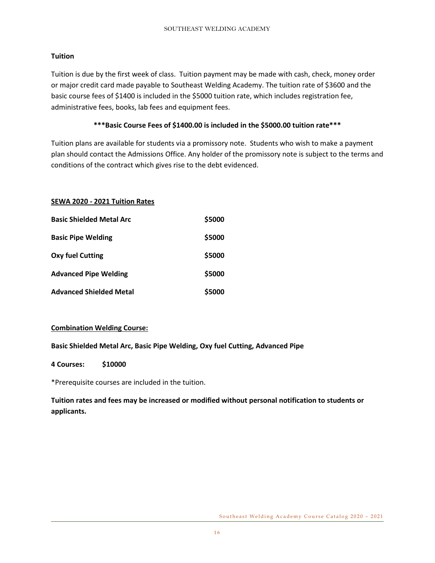## **Tuition**

Tuition is due by the first week of class. Tuition payment may be made with cash, check, money order or major credit card made payable to Southeast Welding Academy. The tuition rate of \$3600 and the basic course fees of \$1400 is included in the \$5000 tuition rate, which includes registration fee, administrative fees, books, lab fees and equipment fees.

## **\*\*\*Basic Course Fees of \$1400.00 is included in the \$5000.00 tuition rate\*\*\***

Tuition plans are available for students via a promissory note. Students who wish to make a payment plan should contact the Admissions Office. Any holder of the promissory note is subject to the terms and conditions of the contract which gives rise to the debt evidenced.

## **SEWA 2020 - 2021 Tuition Rates**

| <b>Basic Shielded Metal Arc</b> | \$5000 |
|---------------------------------|--------|
| <b>Basic Pipe Welding</b>       | \$5000 |
| Oxy fuel Cutting                | \$5000 |
| <b>Advanced Pipe Welding</b>    | \$5000 |
| <b>Advanced Shielded Metal</b>  | \$5000 |

## **Combination Welding Course:**

## **Basic Shielded Metal Arc, Basic Pipe Welding, Oxy fuel Cutting, Advanced Pipe**

**4 Courses: \$10000**

\*Prerequisite courses are included in the tuition.

**Tuition rates and fees may be increased or modified without personal notification to students or applicants.**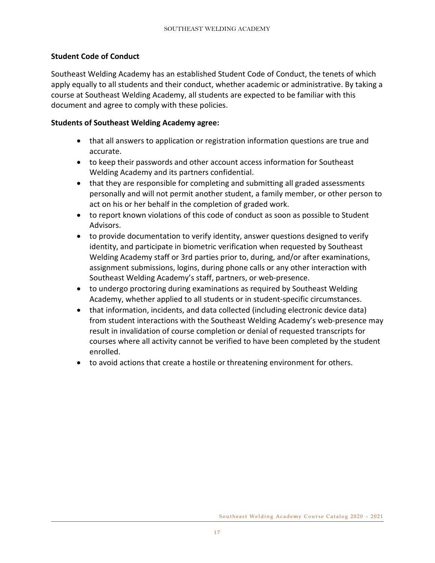## **Student Code of Conduct**

Southeast Welding Academy has an established Student Code of Conduct, the tenets of which apply equally to all students and their conduct, whether academic or administrative. By taking a course at Southeast Welding Academy, all students are expected to be familiar with this document and agree to comply with these policies.

## **Students of Southeast Welding Academy agree:**

- that all answers to application or registration information questions are true and accurate.
- to keep their passwords and other account access information for Southeast Welding Academy and its partners confidential.
- that they are responsible for completing and submitting all graded assessments personally and will not permit another student, a family member, or other person to act on his or her behalf in the completion of graded work.
- to report known violations of this code of conduct as soon as possible to Student Advisors.
- to provide documentation to verify identity, answer questions designed to verify identity, and participate in biometric verification when requested by Southeast Welding Academy staff or 3rd parties prior to, during, and/or after examinations, assignment submissions, logins, during phone calls or any other interaction with Southeast Welding Academy's staff, partners, or web-presence.
- to undergo proctoring during examinations as required by Southeast Welding Academy, whether applied to all students or in student-specific circumstances.
- that information, incidents, and data collected (including electronic device data) from student interactions with the Southeast Welding Academy's web-presence may result in invalidation of course completion or denial of requested transcripts for courses where all activity cannot be verified to have been completed by the student enrolled.
- to avoid actions that create a hostile or threatening environment for others.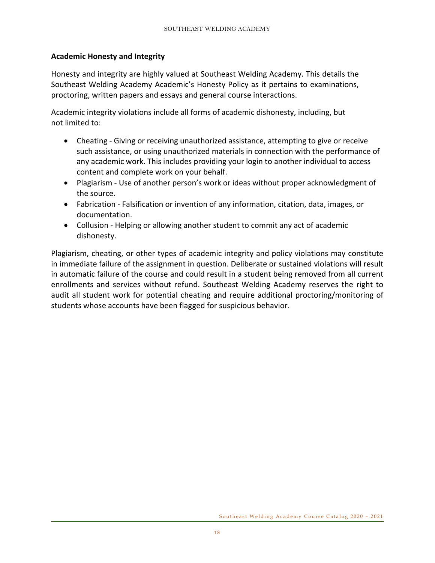## **Academic Honesty and Integrity**

Honesty and integrity are highly valued at Southeast Welding Academy. This details the Southeast Welding Academy Academic's Honesty Policy as it pertains to examinations, proctoring, written papers and essays and general course interactions.

Academic integrity violations include all forms of academic dishonesty, including, but not limited to:

- Cheating Giving or receiving unauthorized assistance, attempting to give or receive such assistance, or using unauthorized materials in connection with the performance of any academic work. This includes providing your login to another individual to access content and complete work on your behalf.
- Plagiarism Use of another person's work or ideas without proper acknowledgment of the source.
- Fabrication Falsification or invention of any information, citation, data, images, or documentation.
- Collusion Helping or allowing another student to commit any act of academic dishonesty.

Plagiarism, cheating, or other types of academic integrity and policy violations may constitute in immediate failure of the assignment in question. Deliberate or sustained violations will result in automatic failure of the course and could result in a student being removed from all current enrollments and services without refund. Southeast Welding Academy reserves the right to audit all student work for potential cheating and require additional proctoring/monitoring of students whose accounts have been flagged for suspicious behavior.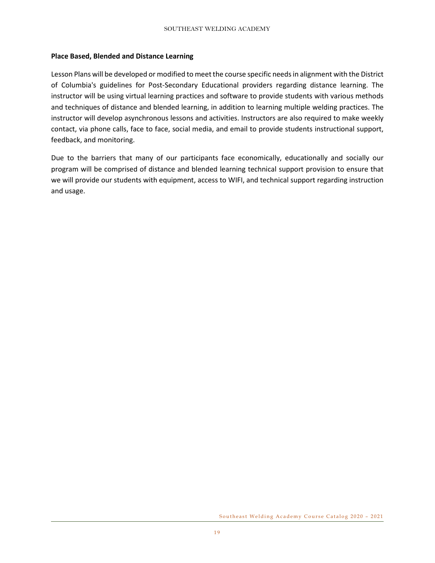#### **Place Based, Blended and Distance Learning**

Lesson Plans will be developed or modified to meet the course specific needs in alignment with the District of Columbia's guidelines for Post-Secondary Educational providers regarding distance learning. The instructor will be using virtual learning practices and software to provide students with various methods and techniques of distance and blended learning, in addition to learning multiple welding practices. The instructor will develop asynchronous lessons and activities. Instructors are also required to make weekly contact, via phone calls, face to face, social media, and email to provide students instructional support, feedback, and monitoring.

Due to the barriers that many of our participants face economically, educationally and socially our program will be comprised of distance and blended learning technical support provision to ensure that we will provide our students with equipment, access to WIFI, and technical support regarding instruction and usage.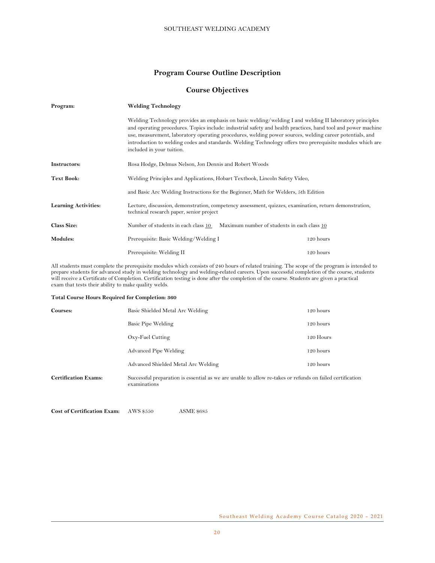#### **Program Course Outline Description**

#### **Course Objectives**

| Program:                    | <b>Welding Technology</b>                                                                                                                                                                                                                                                                                                                                                                                                                                                      |                                                                                                        |  |  |
|-----------------------------|--------------------------------------------------------------------------------------------------------------------------------------------------------------------------------------------------------------------------------------------------------------------------------------------------------------------------------------------------------------------------------------------------------------------------------------------------------------------------------|--------------------------------------------------------------------------------------------------------|--|--|
|                             | Welding Technology provides an emphasis on basic welding/welding I and welding II laboratory principles<br>and operating procedures. Topics include: industrial safety and health practices, hand tool and power machine<br>use, measurement, laboratory operating procedures, welding power sources, welding career potentials, and<br>introduction to welding codes and standards. Welding Technology offers two prerequisite modules which are<br>included in your tuition. |                                                                                                        |  |  |
| Instructors:                |                                                                                                                                                                                                                                                                                                                                                                                                                                                                                | Rosa Hodge, Delmus Nelson, Jon Dennis and Robert Woods                                                 |  |  |
| Text Book:                  |                                                                                                                                                                                                                                                                                                                                                                                                                                                                                | Welding Principles and Applications, Hobart Textbook, Lincoln Safety Video,                            |  |  |
|                             | and Basic Arc Welding Instructions for the Beginner, Math for Welders, 5th Edition                                                                                                                                                                                                                                                                                                                                                                                             |                                                                                                        |  |  |
| <b>Learning Activities:</b> | technical research paper, senior project                                                                                                                                                                                                                                                                                                                                                                                                                                       | Lecture, discussion, demonstration, competency assessment, quizzes, examination, return demonstration, |  |  |
| <b>Class Size:</b>          | Number of students in each class 10                                                                                                                                                                                                                                                                                                                                                                                                                                            | Maximum number of students in each class 10                                                            |  |  |
| Modules:                    | Prerequisite: Basic Welding/Welding I                                                                                                                                                                                                                                                                                                                                                                                                                                          | 120 hours                                                                                              |  |  |
|                             | Prerequisite: Welding II                                                                                                                                                                                                                                                                                                                                                                                                                                                       | 120 hours                                                                                              |  |  |

All students must complete the prerequisite modules which consists of 240 hours of related training. The scope of the program is intended to prepare students for advanced study in welding technology and welding-related careers. Upon successful completion of the course, students will receive a Certificate of Completion. Certification testing is done after the completion of the course. Students are given a practical exam that tests their ability to make quality welds.

#### **Total Course Hours Required for Completion: 360**

| Courses:                    | Basic Shielded Metal Arc Welding                                                                                          | 120 hours   |
|-----------------------------|---------------------------------------------------------------------------------------------------------------------------|-------------|
|                             | Basic Pipe Welding                                                                                                        | $120$ hours |
|                             | Oxy-Fuel Cutting                                                                                                          | 120 Hours   |
|                             | Advanced Pipe Welding                                                                                                     | 120 hours   |
|                             | Advanced Shielded Metal Arc Welding                                                                                       | $120$ hours |
| <b>Certification Exams:</b> | Successful preparation is essential as we are unable to allow re-takes or refunds on failed certification<br>examinations |             |

**Cost of Certification Exam:** AWS \$550 ASME \$685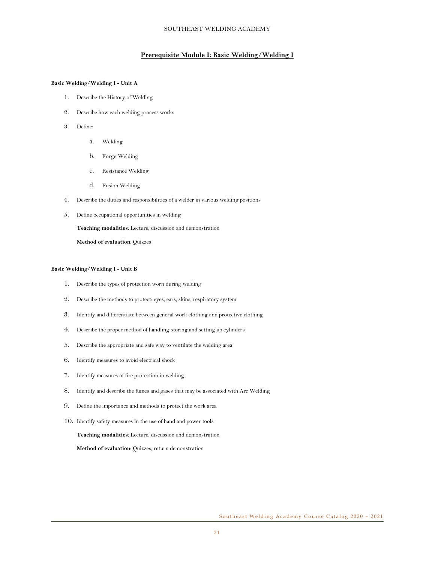#### **Prerequisite Module I: Basic Welding/Welding I**

#### **Basic Welding/Welding I - Unit A**

- 1. Describe the History of Welding
- 2. Describe how each welding process works
- 3. Define:
	- a. Welding
	- b. Forge Welding
	- c. Resistance Welding
	- d. Fusion Welding
- 4. Describe the duties and responsibilities of a welder in various welding positions
- 5. Define occupational opportunities in welding

**Teaching modalities**: Lecture, discussion and demonstration

**Method of evaluation**: Quizzes

#### **Basic Welding/Welding I - Unit B**

- 1. Describe the types of protection worn during welding
- 2. Describe the methods to protect: eyes, ears, skins, respiratory system
- 3. Identify and differentiate between general work clothing and protective clothing
- 4. Describe the proper method of handling storing and setting up cylinders
- 5. Describe the appropriate and safe way to ventilate the welding area
- 6. Identify measures to avoid electrical shock
- 7. Identify measures of fire protection in welding
- 8. Identify and describe the fumes and gases that may be associated with Arc Welding
- 9. Define the importance and methods to protect the work area
- 10. Identify safety measures in the use of hand and power tools

**Teaching modalities**: Lecture, discussion and demonstration

**Method of evaluation**: Quizzes, return demonstration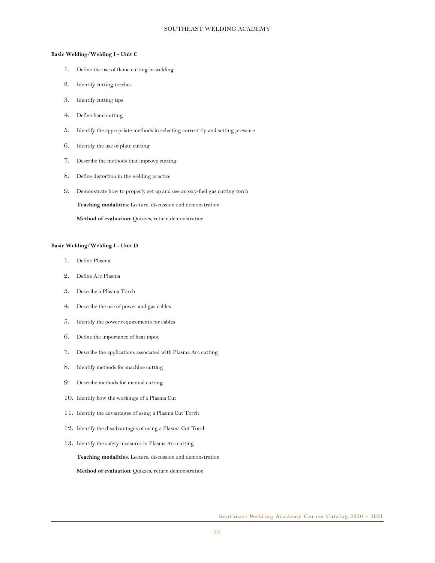#### **Basic Welding/Welding I - Unit C**

- 1. Define the use of flame cutting in welding
- 2. Identify cutting torches
- 3. Identify cutting tips
- 4. Define hand cutting
- 5. Identify the appropriate methods in selecting correct tip and setting pressure
- 6. Identify the use of plate cutting
- 7. Describe the methods that improve cutting
- 8. Define distortion in the welding practice
- 9. Demonstrate how to properly set up and use an oxy-fuel gas cutting torch

**Teaching modalities**: Lecture, discussion and demonstration

**Method of evaluation**: Quizzes, return demonstration

#### **Basic Welding/Welding I - Unit D**

- 1. Define Plasma
- 2. Define Arc Plasma
- 3. Describe a Plasma Torch
- 4. Describe the use of power and gas cables
- 5. Identify the power requirements for cables
- 6. Define the importance of heat input
- 7. Describe the applications associated with Plasma Arc cutting
- 8. Identify methods for machine cutting
- 9. Describe methods for manual cutting
- 10. Identify how the workings of a Plasma Cut
- 11. Identify the advantages of using a Plasma Cut Torch
- 12. Identify the disadvantages of using a Plasma Cut Torch
- 13. Identify the safety measures in Plasma Arc cutting

**Teaching modalities**: Lecture, discussion and demonstration

**Method of evaluation**: Quizzes, return demonstration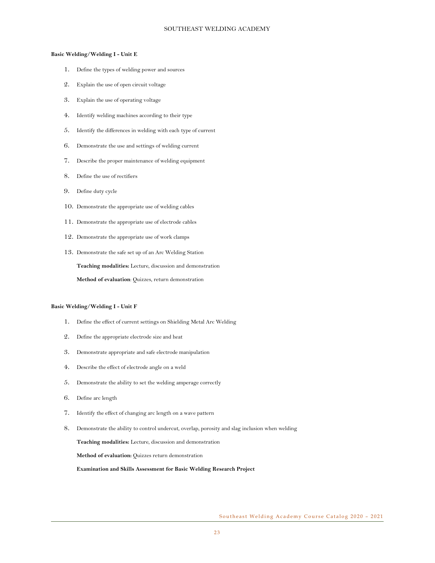#### **Basic Welding/Welding I - Unit E**

- 1. Define the types of welding power and sources
- 2. Explain the use of open circuit voltage
- 3. Explain the use of operating voltage
- 4. Identify welding machines according to their type
- 5. Identify the differences in welding with each type of current
- 6. Demonstrate the use and settings of welding current
- 7. Describe the proper maintenance of welding equipment
- 8. Define the use of rectifiers
- 9. Define duty cycle
- 10. Demonstrate the appropriate use of welding cables
- 11. Demonstrate the appropriate use of electrode cables
- 12. Demonstrate the appropriate use of work clamps
- 13. Demonstrate the safe set up of an Arc Welding Station **Teaching modalities:** Lecture, discussion and demonstration **Method of evaluation**: Quizzes, return demonstration

#### **Basic Welding/Welding I - Unit F**

- 1. Define the effect of current settings on Shielding Metal Arc Welding
- 2. Define the appropriate electrode size and heat
- 3. Demonstrate appropriate and safe electrode manipulation
- 4. Describe the effect of electrode angle on a weld
- 5. Demonstrate the ability to set the welding amperage correctly
- 6. Define arc length
- 7. Identify the effect of changing arc length on a wave pattern
- 8. Demonstrate the ability to control undercut, overlap, porosity and slag inclusion when welding

**Teaching modalities:** Lecture, discussion and demonstration

**Method of evaluation:** Quizzes return demonstration

**Examination and Skills Assessment for Basic Welding Research Project**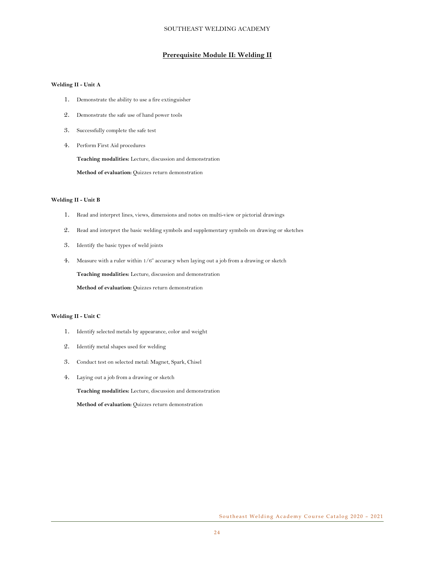#### **Prerequisite Module II: Welding II**

#### **Welding II - Unit A**

- 1. Demonstrate the ability to use a fire extinguisher
- 2. Demonstrate the safe use of hand power tools
- 3. Successfully complete the safe test
- 4. Perform First Aid procedures

**Teaching modalities:** Lecture, discussion and demonstration

**Method of evaluation:** Quizzes return demonstration

#### **Welding II - Unit B**

- 1. Read and interpret lines, views, dimensions and notes on multi-view or pictorial drawings
- 2. Read and interpret the basic welding symbols and supplementary symbols on drawing or sketches
- 3. Identify the basic types of weld joints
- 4. Measure with a ruler within 1/6" accuracy when laying out a job from a drawing or sketch

**Teaching modalities:** Lecture, discussion and demonstration

**Method of evaluation:** Quizzes return demonstration

#### **Welding II - Unit C**

- 1. Identify selected metals by appearance, color and weight
- 2. Identify metal shapes used for welding
- 3. Conduct test on selected metal: Magnet, Spark, Chisel
- 4. Laying out a job from a drawing or sketch

**Teaching modalities:** Lecture, discussion and demonstration

**Method of evaluation:** Quizzes return demonstration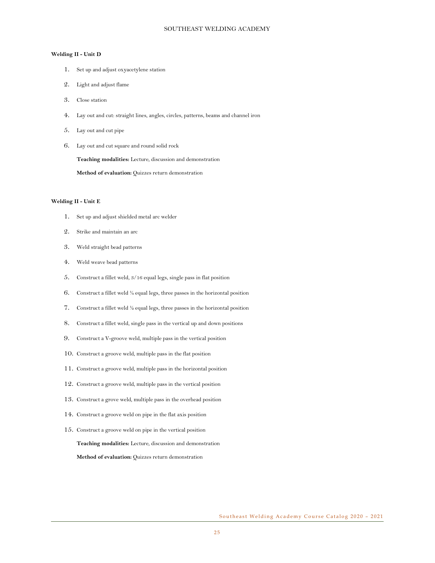#### **Welding II - Unit D**

- 1. Set up and adjust oxyacetylene station
- 2. Light and adjust flame
- 3. Close station
- 4. Lay out and cut: straight lines, angles, circles, patterns, beams and channel iron
- 5. Lay out and cut pipe
- 6. Lay out and cut square and round solid rock

**Teaching modalities:** Lecture, discussion and demonstration

**Method of evaluation:** Quizzes return demonstration

#### **Welding II - Unit E**

- 1. Set up and adjust shielded metal arc welder
- 2. Strike and maintain an arc
- 3. Weld straight bead patterns
- 4. Weld weave bead patterns
- 5. Construct a fillet weld, 3/16 equal legs, single pass in flat position
- 6. Construct a fillet weld ¼ equal legs, three passes in the horizontal position
- 7. Construct a fillet weld ½ equal legs, three passes in the horizontal position
- 8. Construct a fillet weld, single pass in the vertical up and down positions
- 9. Construct a V-groove weld, multiple pass in the vertical position
- 10. Construct a groove weld, multiple pass in the flat position
- 11. Construct a groove weld, multiple pass in the horizontal position
- 12. Construct a groove weld, multiple pass in the vertical position
- 13. Construct a grove weld, multiple pass in the overhead position
- 14. Construct a groove weld on pipe in the flat axis position
- 15. Construct a groove weld on pipe in the vertical position

**Teaching modalities:** Lecture, discussion and demonstration

**Method of evaluation:** Quizzes return demonstration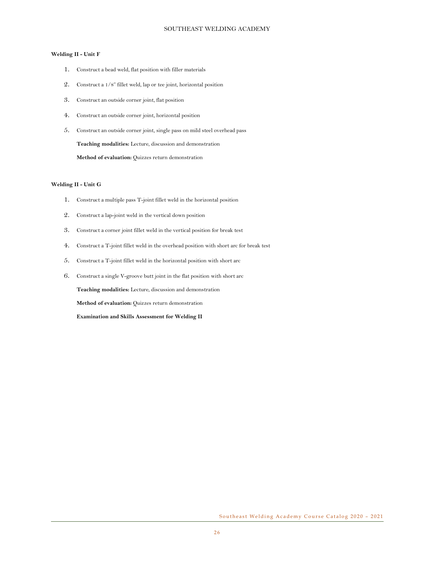#### **Welding II - Unit F**

- 1. Construct a bead weld, flat position with filler materials
- 2. Construct a 1/8" fillet weld, lap or tee joint, horizontal position
- 3. Construct an outside corner joint, flat position
- 4. Construct an outside corner joint, horizontal position
- 5. Construct an outside corner joint, single pass on mild steel overhead pass

**Teaching modalities:** Lecture, discussion and demonstration

**Method of evaluation:** Quizzes return demonstration

#### **Welding II - Unit G**

- 1. Construct a multiple pass T-joint fillet weld in the horizontal position
- 2. Construct a lap-joint weld in the vertical down position
- 3. Construct a corner joint fillet weld in the vertical position for break test
- 4. Construct a T-joint fillet weld in the overhead position with short arc for break test
- 5. Construct a T-joint fillet weld in the horizontal position with short arc
- 6. Construct a single V-groove butt joint in the flat position with short arc

**Teaching modalities:** Lecture, discussion and demonstration

**Method of evaluation:** Quizzes return demonstration

**Examination and Skills Assessment for Welding II**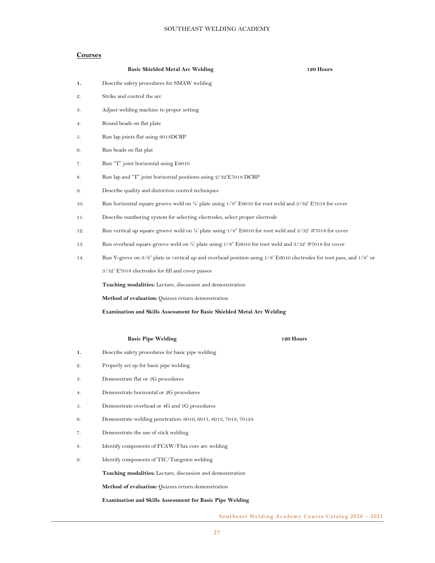#### **Courses**

|     | <b>Basic Shielded Metal Arc Welding</b>                                                                                     | 120 Hours |  |
|-----|-----------------------------------------------------------------------------------------------------------------------------|-----------|--|
| 1.  | Describe safety procedures for SMAW welding                                                                                 |           |  |
| 2.  | Strike and control the arc                                                                                                  |           |  |
| 3.  | Adjust welding machine to proper setting                                                                                    |           |  |
| 4.  | Round beads on flat plate                                                                                                   |           |  |
| 5.  | Run lap joints flat using 6013DCRP                                                                                          |           |  |
| 6.  | Run beads on flat plat                                                                                                      |           |  |
| 7.  | Run "T" joint horizontal using E6010                                                                                        |           |  |
| 8.  | Run lap and "T" joint horizontal positions using 2/32'E7018 DCRP                                                            |           |  |
| 9.  | Describe quality and distortion control techniques                                                                          |           |  |
| 10. | Run horizontal square groove weld on $\frac{1}{4}$ plate using 1/8" E6010 for root weld and $\frac{3}{32}$ E7018 for cover  |           |  |
| 11. | Describe numbering system for selecting electrodes, select proper electrode                                                 |           |  |
| 12. | Run vertical up square groove weld on $\frac{1}{4}$ plate using 1/8" E6010 for root weld and $\frac{3}{32}$ #7018 for cover |           |  |
| 13. | Run overhead square groove weld on 1/4' plate using $1/8$ " E6010 for root weld and $3/32$ " #7018 for cover                |           |  |
| 14. | Run V-grove on 3/8" plate in vertical up and overhead position using 1/8' E6010 electrodes for toot pass, and 1/8" or       |           |  |
|     | 3/32' E7018 electrodes for fill and cover passes                                                                            |           |  |
|     | Teaching modalities: Lecture, discussion and demonstration                                                                  |           |  |
|     | Method of evaluation: Quizzes return demonstration                                                                          |           |  |
|     | <b>Examination and Skills Assessment for Basic Shielded Metal Arc Welding</b>                                               |           |  |
|     |                                                                                                                             |           |  |
|     | <b>Basic Pipe Welding</b><br>120 Hours                                                                                      |           |  |
| 1.  | Describe safety procedures for basic pipe welding                                                                           |           |  |
| 2.  | Properly set up for basic pipe welding                                                                                      |           |  |
| 3.  | Demonstrate flat or 1G procedures                                                                                           |           |  |
| 4.  | Demonstrate horizontal or 2G procedures                                                                                     |           |  |
| 5.  | Demonstrate overhead or 4G and 1G procedures                                                                                |           |  |
| 6.  | Demonstrate welding penetration: 6010, 6011, 6013, 7018, 70124                                                              |           |  |
| 7.  | Demonstrate the use of stick welding                                                                                        |           |  |
| 8.  | Identify components of FCAW/Flux core arc welding                                                                           |           |  |
| 9.  | Identify components of TIC/Tungsten welding                                                                                 |           |  |
|     | Teaching modalities: Lecture, discussion and demonstration                                                                  |           |  |
|     | <b>Method of evaluation:</b> Quizzes return demonstration                                                                   |           |  |

**Examination and Skills Assessment for Basic Pipe Welding**

Southeast Welding Academy Course Catalog 2020 – 2021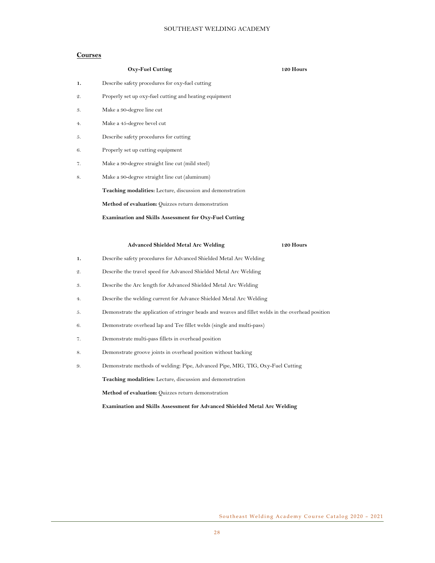#### **Courses**

|    | <b>Oxy-Fuel Cutting</b>                                                                            | 120 Hours |
|----|----------------------------------------------------------------------------------------------------|-----------|
| 1. | Describe safety procedures for oxy-fuel cutting                                                    |           |
| 2. | Properly set up oxy-fuel cutting and heating equipment                                             |           |
| 3. | Make a 90-degree line cut                                                                          |           |
| 4. | Make a 45-degree bevel cut                                                                         |           |
| 5. | Describe safety procedures for cutting                                                             |           |
| 6. | Properly set up cutting equipment                                                                  |           |
| 7. | Make a 90-degree straight line cut (mild steel)                                                    |           |
| 8. | Make a 90-degree straight line cut (aluminum)                                                      |           |
|    | Teaching modalities: Lecture, discussion and demonstration                                         |           |
|    | Method of evaluation: Quizzes return demonstration                                                 |           |
|    | <b>Examination and Skills Assessment for Oxy-Fuel Cutting</b>                                      |           |
|    |                                                                                                    |           |
|    | <b>Advanced Shielded Metal Arc Welding</b>                                                         | 120 Hours |
| ı. | Describe safety procedures for Advanced Shielded Metal Arc Welding                                 |           |
| 2. | Describe the travel speed for Advanced Shielded Metal Arc Welding                                  |           |
| 3. | Describe the Arc length for Advanced Shielded Metal Arc Welding                                    |           |
| 4. | Describe the welding current for Advance Shielded Metal Arc Welding                                |           |
| 5. | Demonstrate the application of stringer beads and weaves and fillet welds in the overhead position |           |
| 6. | Demonstrate overhead lap and Tee fillet welds (single and multi-pass)                              |           |
| 7. | Demonstrate multi-pass fillets in overhead position                                                |           |

- 8. Demonstrate groove joints in overhead position without backing
- 9. Demonstrate methods of welding: Pipe, Advanced Pipe, MIG, TIG, Oxy-Fuel Cutting

**Teaching modalities:** Lecture, discussion and demonstration

**Method of evaluation:** Quizzes return demonstration

**Examination and Skills Assessment for Advanced Shielded Metal Arc Welding**